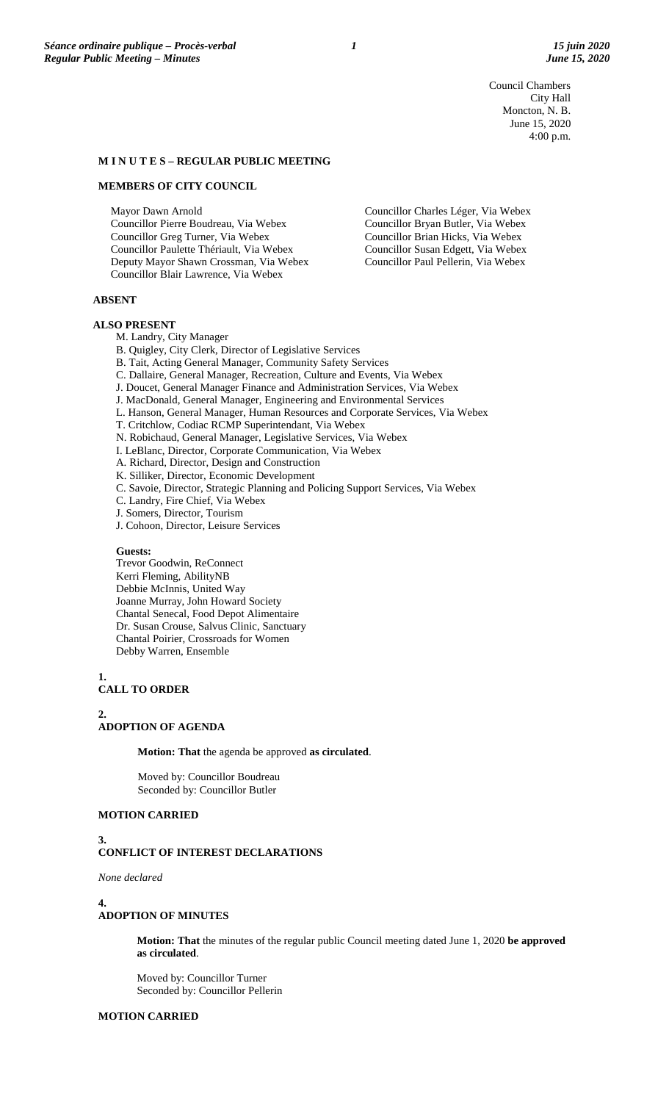Council Chambers City Hall Moncton, N. B. June 15, 2020 4:00 p.m.

Councillor Charles Léger, Via Webex Councillor Bryan Butler, Via Webex Councillor Brian Hicks, Via Webex Councillor Susan Edgett, Via Webex Councillor Paul Pellerin, Via Webex

## **M I N U T E S – REGULAR PUBLIC MEETING**

### **MEMBERS OF CITY COUNCIL**

Mayor Dawn Arnold Councillor Pierre Boudreau, Via Webex Councillor Greg Turner, Via Webex Councillor Paulette Thériault, Via Webex Deputy Mayor Shawn Crossman, Via Webex Councillor Blair Lawrence, Via Webex

**ABSENT**

#### **ALSO PRESENT**

M. Landry, City Manager

- B. Quigley, City Clerk, Director of Legislative Services
- B. Tait, Acting General Manager, Community Safety Services
- C. Dallaire, General Manager, Recreation, Culture and Events, Via Webex
- J. Doucet, General Manager Finance and Administration Services, Via Webex
- J. MacDonald, General Manager, Engineering and Environmental Services
- L. Hanson, General Manager, Human Resources and Corporate Services, Via Webex
- T. Critchlow, Codiac RCMP Superintendant, Via Webex
- N. Robichaud, General Manager, Legislative Services, Via Webex
- I. LeBlanc, Director, Corporate Communication, Via Webex
- A. Richard, Director, Design and Construction
- K. Silliker, Director, Economic Development
- C. Savoie, Director, Strategic Planning and Policing Support Services, Via Webex
- C. Landry, Fire Chief, Via Webex
- J. Somers, Director, Tourism
- J. Cohoon, Director, Leisure Services

## **Guests:**

Trevor Goodwin, ReConnect Kerri Fleming, AbilityNB Debbie McInnis, United Way Joanne Murray, John Howard Society Chantal Senecal, Food Depot Alimentaire Dr. Susan Crouse, Salvus Clinic, Sanctuary Chantal Poirier, Crossroads for Women Debby Warren, Ensemble

**1. CALL TO ORDER**

**2.**

## **ADOPTION OF AGENDA**

**Motion: That** the agenda be approved **as circulated**.

Moved by: Councillor Boudreau Seconded by: Councillor Butler

## **MOTION CARRIED**

## **3. CONFLICT OF INTEREST DECLARATIONS**

*None declared*

**4.**

## **ADOPTION OF MINUTES**

**Motion: That** the minutes of the regular public Council meeting dated June 1, 2020 **be approved as circulated**.

Moved by: Councillor Turner Seconded by: Councillor Pellerin

## **MOTION CARRIED**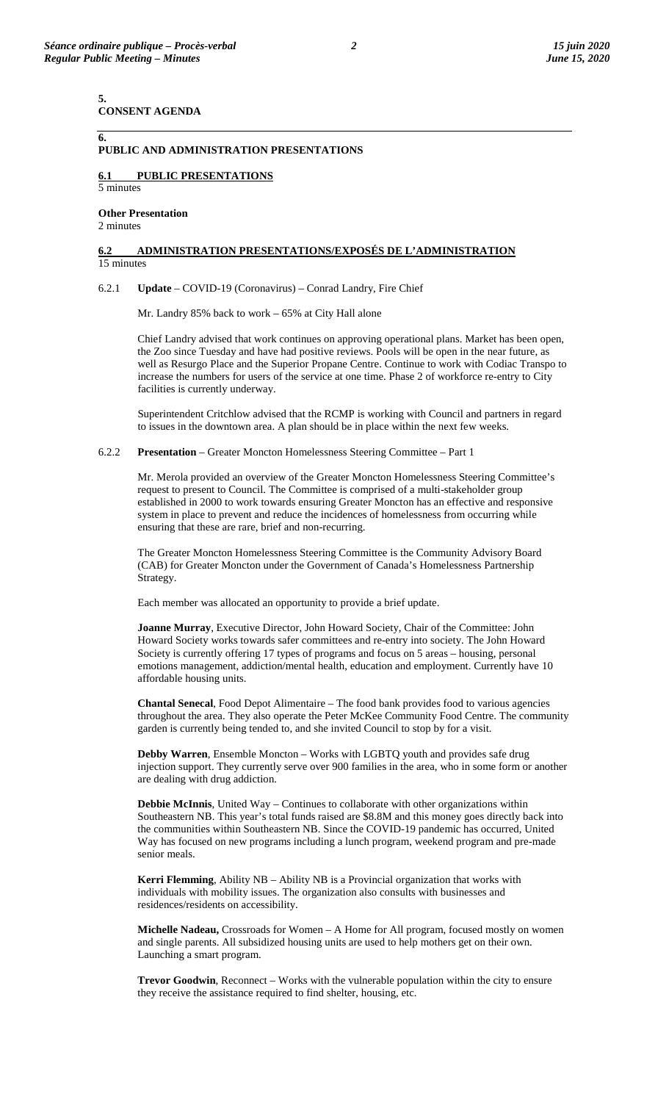**5. CONSENT AGENDA**

## **PUBLIC AND ADMINISTRATION PRESENTATIONS**

# **6.1 PUBLIC PRESENTATIONS**

5 minutes

**6.**

#### **Other Presentation**  2 minutes

### **6.2 ADMINISTRATION PRESENTATIONS/EXPOSÉS DE L'ADMINISTRATION**  15 minutes

### 6.2.1 **Update** – COVID-19 (Coronavirus) – Conrad Landry, Fire Chief

Mr. Landry 85% back to work – 65% at City Hall alone

Chief Landry advised that work continues on approving operational plans. Market has been open, the Zoo since Tuesday and have had positive reviews. Pools will be open in the near future, as well as Resurgo Place and the Superior Propane Centre. Continue to work with Codiac Transpo to increase the numbers for users of the service at one time. Phase 2 of workforce re-entry to City facilities is currently underway.

Superintendent Critchlow advised that the RCMP is working with Council and partners in regard to issues in the downtown area. A plan should be in place within the next few weeks.

6.2.2 **Presentation** – Greater Moncton Homelessness Steering Committee – Part 1

Mr. Merola provided an overview of the Greater Moncton Homelessness Steering Committee's request to present to Council. The Committee is comprised of a multi-stakeholder group established in 2000 to work towards ensuring Greater Moncton has an effective and responsive system in place to prevent and reduce the incidences of homelessness from occurring while ensuring that these are rare, brief and non-recurring.

The Greater Moncton Homelessness Steering Committee is the Community Advisory Board (CAB) for Greater Moncton under the Government of Canada's Homelessness Partnership Strategy.

Each member was allocated an opportunity to provide a brief update.

**Joanne Murray**, Executive Director, John Howard Society, Chair of the Committee: John Howard Society works towards safer committees and re-entry into society. The John Howard Society is currently offering 17 types of programs and focus on 5 areas – housing, personal emotions management, addiction/mental health, education and employment. Currently have 10 affordable housing units.

**Chantal Senecal**, Food Depot Alimentaire – The food bank provides food to various agencies throughout the area. They also operate the Peter McKee Community Food Centre. The community garden is currently being tended to, and she invited Council to stop by for a visit.

**Debby Warren**, Ensemble Moncton – Works with LGBTQ youth and provides safe drug injection support. They currently serve over 900 families in the area, who in some form or another are dealing with drug addiction.

**Debbie McInnis**, United Way – Continues to collaborate with other organizations within Southeastern NB. This year's total funds raised are \$8.8M and this money goes directly back into the communities within Southeastern NB. Since the COVID-19 pandemic has occurred, United Way has focused on new programs including a lunch program, weekend program and pre-made senior meals.

**Kerri Flemming**, Ability NB – Ability NB is a Provincial organization that works with individuals with mobility issues. The organization also consults with businesses and residences/residents on accessibility.

**Michelle Nadeau,** Crossroads for Women – A Home for All program, focused mostly on women and single parents. All subsidized housing units are used to help mothers get on their own. Launching a smart program.

**Trevor Goodwin**, Reconnect – Works with the vulnerable population within the city to ensure they receive the assistance required to find shelter, housing, etc.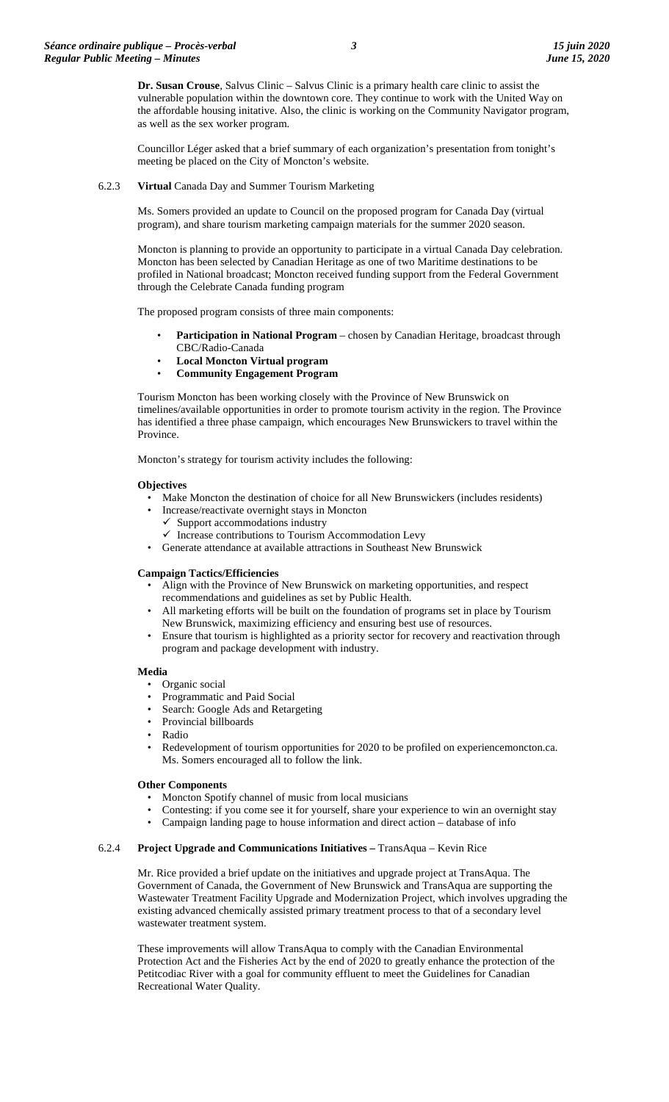**Dr. Susan Crouse**, Salvus Clinic – Salvus Clinic is a primary health care clinic to assist the vulnerable population within the downtown core. They continue to work with the United Way on the affordable housing initative. Also, the clinic is working on the Community Navigator program, as well as the sex worker program.

Councillor Léger asked that a brief summary of each organization's presentation from tonight's meeting be placed on the City of Moncton's website.

## 6.2.3 **Virtual** Canada Day and Summer Tourism Marketing

Ms. Somers provided an update to Council on the proposed program for Canada Day (virtual program), and share tourism marketing campaign materials for the summer 2020 season.

Moncton is planning to provide an opportunity to participate in a virtual Canada Day celebration. Moncton has been selected by Canadian Heritage as one of two Maritime destinations to be profiled in National broadcast; Moncton received funding support from the Federal Government through the Celebrate Canada funding program

The proposed program consists of three main components:

- **Participation in National Program** chosen by Canadian Heritage, broadcast through CBC/Radio-Canada
- **Local Moncton Virtual program**
- **Community Engagement Program**

Tourism Moncton has been working closely with the Province of New Brunswick on timelines/available opportunities in order to promote tourism activity in the region. The Province has identified a three phase campaign, which encourages New Brunswickers to travel within the Province.

Moncton's strategy for tourism activity includes the following:

### **Objectives**

- Make Moncton the destination of choice for all New Brunswickers (includes residents)
- Increase/reactivate overnight stays in Moncton
	- $\checkmark$  Support accommodations industry
	- $\checkmark$  Increase contributions to Tourism Accommodation Levy
- Generate attendance at available attractions in Southeast New Brunswick

### **Campaign Tactics/Efficiencies**

- Align with the Province of New Brunswick on marketing opportunities, and respect recommendations and guidelines as set by Public Health.
- All marketing efforts will be built on the foundation of programs set in place by Tourism New Brunswick, maximizing efficiency and ensuring best use of resources.
- Ensure that tourism is highlighted as a priority sector for recovery and reactivation through program and package development with industry.

#### **Media**

- Organic social
- Programmatic and Paid Social
- Search: Google Ads and Retargeting
- Provincial billboards
- Radio
- Redevelopment of tourism opportunities for 2020 to be profiled on experiencemoncton.ca. Ms. Somers encouraged all to follow the link.

#### **Other Components**

- Moncton Spotify channel of music from local musicians
- Contesting: if you come see it for yourself, share your experience to win an overnight stay
- Campaign landing page to house information and direct action database of info

## 6.2.4 **Project Upgrade and Communications Initiatives –** TransAqua – Kevin Rice

Mr. Rice provided a brief update on the initiatives and upgrade project at TransAqua. The Government of Canada, the Government of New Brunswick and TransAqua are supporting the Wastewater Treatment Facility Upgrade and Modernization Project, which involves upgrading the existing advanced chemically assisted primary treatment process to that of a secondary level wastewater treatment system.

These improvements will allow TransAqua to comply with the Canadian Environmental Protection Act and the Fisheries Act by the end of 2020 to greatly enhance the protection of the Petitcodiac River with a goal for community effluent to meet the Guidelines for Canadian Recreational Water Quality.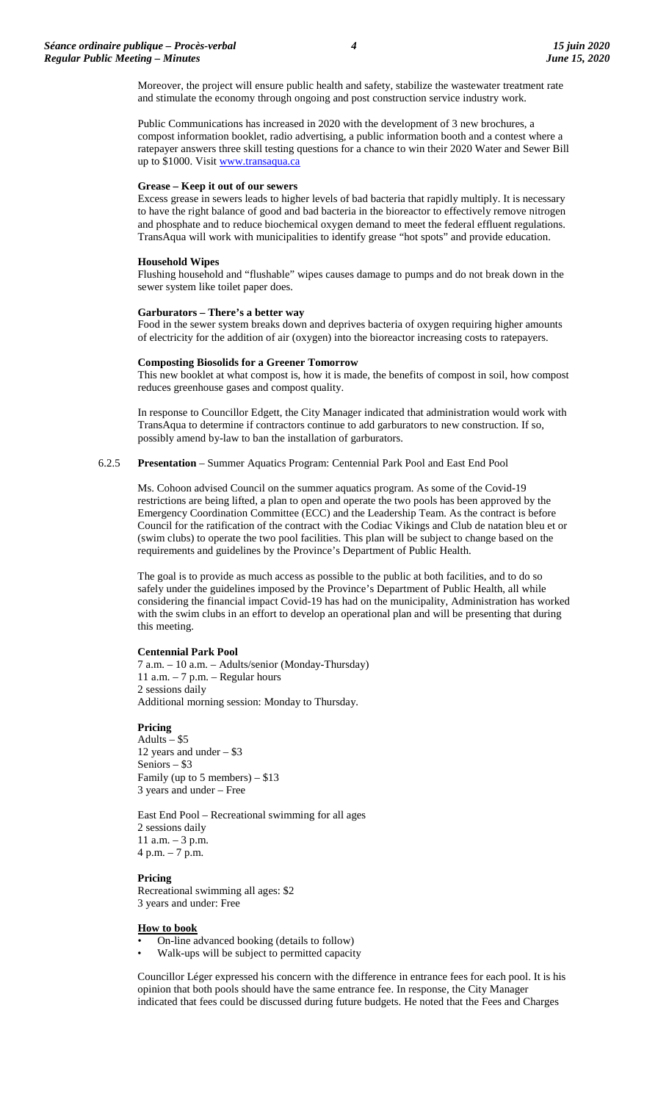Moreover, the project will ensure public health and safety, stabilize the wastewater treatment rate and stimulate the economy through ongoing and post construction service industry work.

Public Communications has increased in 2020 with the development of 3 new brochures, a compost information booklet, radio advertising, a public information booth and a contest where a ratepayer answers three skill testing questions for a chance to win their 2020 Water and Sewer Bill up to \$1000. Visi[t www.transaqua.ca](http://www.transaqua.ca/)

## **Grease – Keep it out of our sewers**

Excess grease in sewers leads to higher levels of bad bacteria that rapidly multiply. It is necessary to have the right balance of good and bad bacteria in the bioreactor to effectively remove nitrogen and phosphate and to reduce biochemical oxygen demand to meet the federal effluent regulations. TransAqua will work with municipalities to identify grease "hot spots" and provide education.

## **Household Wipes**

Flushing household and "flushable" wipes causes damage to pumps and do not break down in the sewer system like toilet paper does.

### **Garburators – There's a better way**

Food in the sewer system breaks down and deprives bacteria of oxygen requiring higher amounts of electricity for the addition of air (oxygen) into the bioreactor increasing costs to ratepayers.

## **Composting Biosolids for a Greener Tomorrow**

This new booklet at what compost is, how it is made, the benefits of compost in soil, how compost reduces greenhouse gases and compost quality.

In response to Councillor Edgett, the City Manager indicated that administration would work with TransAqua to determine if contractors continue to add garburators to new construction. If so, possibly amend by-law to ban the installation of garburators.

6.2.5 **Presentation** – Summer Aquatics Program: Centennial Park Pool and East End Pool

Ms. Cohoon advised Council on the summer aquatics program. As some of the Covid-19 restrictions are being lifted, a plan to open and operate the two pools has been approved by the Emergency Coordination Committee (ECC) and the Leadership Team. As the contract is before Council for the ratification of the contract with the Codiac Vikings and Club de natation bleu et or (swim clubs) to operate the two pool facilities. This plan will be subject to change based on the requirements and guidelines by the Province's Department of Public Health.

The goal is to provide as much access as possible to the public at both facilities, and to do so safely under the guidelines imposed by the Province's Department of Public Health, all while considering the financial impact Covid-19 has had on the municipality, Administration has worked with the swim clubs in an effort to develop an operational plan and will be presenting that during this meeting.

### **Centennial Park Pool**

7 a.m. – 10 a.m. – Adults/senior (Monday-Thursday) 11 a.m. – 7 p.m. – Regular hours 2 sessions daily Additional morning session: Monday to Thursday.

### **Pricing**

Adults – \$5 12 years and under – \$3 Seniors – \$3 Family (up to 5 members) – \$13 3 years and under – Free

East End Pool – Recreational swimming for all ages 2 sessions daily 11 a.m. – 3 p.m. 4 p.m. – 7 p.m.

### **Pricing**

Recreational swimming all ages: \$2 3 years and under: Free

### **How to book**

- On-line advanced booking (details to follow)
- Walk-ups will be subject to permitted capacity

Councillor Léger expressed his concern with the difference in entrance fees for each pool. It is his opinion that both pools should have the same entrance fee. In response, the City Manager indicated that fees could be discussed during future budgets. He noted that the Fees and Charges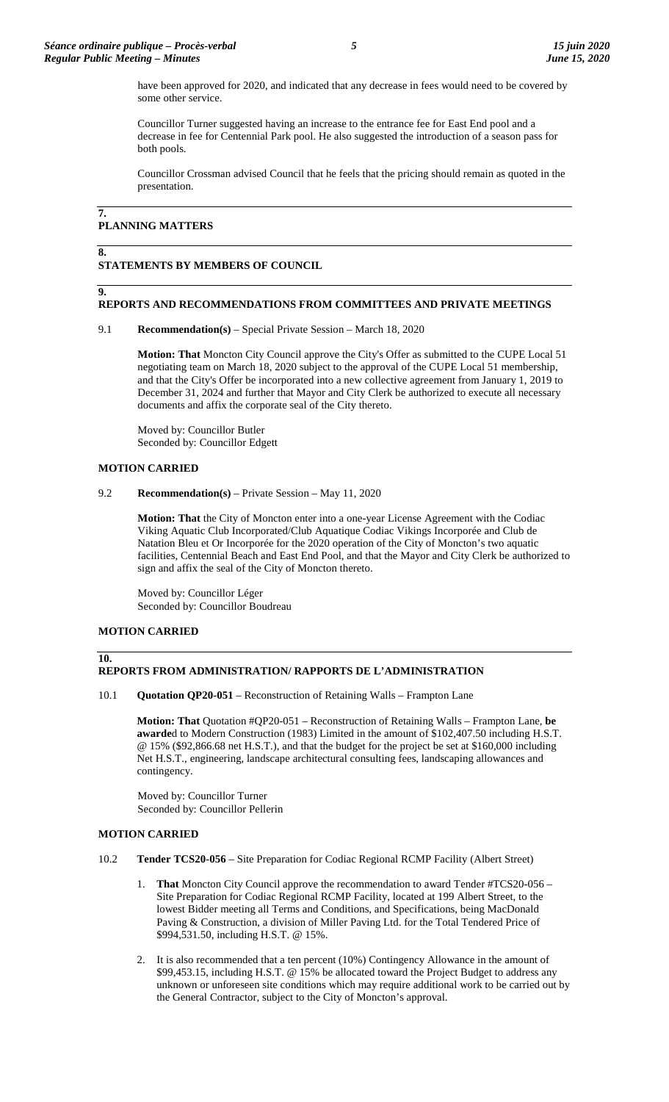have been approved for 2020, and indicated that any decrease in fees would need to be covered by some other service.

Councillor Turner suggested having an increase to the entrance fee for East End pool and a decrease in fee for Centennial Park pool. He also suggested the introduction of a season pass for both pools.

Councillor Crossman advised Council that he feels that the pricing should remain as quoted in the presentation.

## **7. PLANNING MATTERS**

#### **8. STATEMENTS BY MEMBERS OF COUNCIL**

## **9.**

# **REPORTS AND RECOMMENDATIONS FROM COMMITTEES AND PRIVATE MEETINGS**

9.1 **Recommendation(s)** – Special Private Session – March 18, 2020

**Motion: That** Moncton City Council approve the City's Offer as submitted to the CUPE Local 51 negotiating team on March 18, 2020 subject to the approval of the CUPE Local 51 membership, and that the City's Offer be incorporated into a new collective agreement from January 1, 2019 to December 31, 2024 and further that Mayor and City Clerk be authorized to execute all necessary documents and affix the corporate seal of the City thereto.

Moved by: Councillor Butler Seconded by: Councillor Edgett

## **MOTION CARRIED**

## 9.2 **Recommendation(s)** – Private Session – May 11, 2020

**Motion: That** the City of Moncton enter into a one-year License Agreement with the Codiac Viking Aquatic Club Incorporated/Club Aquatique Codiac Vikings Incorporée and Club de Natation Bleu et Or Incorporée for the 2020 operation of the City of Moncton's two aquatic facilities, Centennial Beach and East End Pool, and that the Mayor and City Clerk be authorized to sign and affix the seal of the City of Moncton thereto.

Moved by: Councillor Léger Seconded by: Councillor Boudreau

## **MOTION CARRIED**

### **10.**

## **REPORTS FROM ADMINISTRATION/ RAPPORTS DE L'ADMINISTRATION**

10.1 **Quotation QP20-051** – Reconstruction of Retaining Walls – Frampton Lane

**Motion: That** Quotation #QP20-051 – Reconstruction of Retaining Walls – Frampton Lane, **be awarde**d to Modern Construction (1983) Limited in the amount of \$102,407.50 including H.S.T. @ 15% (\$92,866.68 net H.S.T.), and that the budget for the project be set at \$160,000 including Net H.S.T., engineering, landscape architectural consulting fees, landscaping allowances and contingency.

Moved by: Councillor Turner Seconded by: Councillor Pellerin

## **MOTION CARRIED**

- 10.2 **Tender TCS20-056** Site Preparation for Codiac Regional RCMP Facility (Albert Street)
	- That Moncton City Council approve the recommendation to award Tender #TCS20-056 -Site Preparation for Codiac Regional RCMP Facility, located at 199 Albert Street, to the lowest Bidder meeting all Terms and Conditions, and Specifications, being MacDonald Paving & Construction, a division of Miller Paving Ltd. for the Total Tendered Price of \$994,531.50, including H.S.T. @ 15%.
	- 2. It is also recommended that a ten percent (10%) Contingency Allowance in the amount of \$99,453.15, including H.S.T. @ 15% be allocated toward the Project Budget to address any unknown or unforeseen site conditions which may require additional work to be carried out by the General Contractor, subject to the City of Moncton's approval.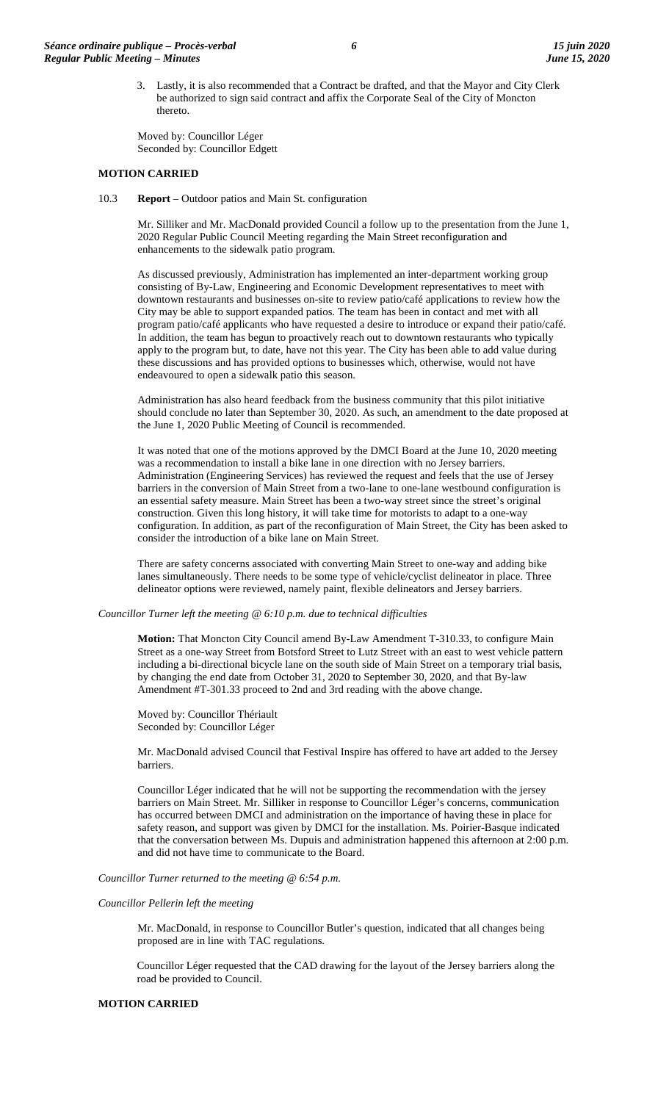3. Lastly, it is also recommended that a Contract be drafted, and that the Mayor and City Clerk be authorized to sign said contract and affix the Corporate Seal of the City of Moncton thereto.

Moved by: Councillor Léger Seconded by: Councillor Edgett

## **MOTION CARRIED**

10.3 **Report** – Outdoor patios and Main St. configuration

Mr. Silliker and Mr. MacDonald provided Council a follow up to the presentation from the June 1, 2020 Regular Public Council Meeting regarding the Main Street reconfiguration and enhancements to the sidewalk patio program.

As discussed previously, Administration has implemented an inter-department working group consisting of By-Law, Engineering and Economic Development representatives to meet with downtown restaurants and businesses on-site to review patio/café applications to review how the City may be able to support expanded patios. The team has been in contact and met with all program patio/café applicants who have requested a desire to introduce or expand their patio/café. In addition, the team has begun to proactively reach out to downtown restaurants who typically apply to the program but, to date, have not this year. The City has been able to add value during these discussions and has provided options to businesses which, otherwise, would not have endeavoured to open a sidewalk patio this season.

Administration has also heard feedback from the business community that this pilot initiative should conclude no later than September 30, 2020. As such, an amendment to the date proposed at the June 1, 2020 Public Meeting of Council is recommended.

It was noted that one of the motions approved by the DMCI Board at the June 10, 2020 meeting was a recommendation to install a bike lane in one direction with no Jersey barriers. Administration (Engineering Services) has reviewed the request and feels that the use of Jersey barriers in the conversion of Main Street from a two-lane to one-lane westbound configuration is an essential safety measure. Main Street has been a two-way street since the street's original construction. Given this long history, it will take time for motorists to adapt to a one-way configuration. In addition, as part of the reconfiguration of Main Street, the City has been asked to consider the introduction of a bike lane on Main Street.

There are safety concerns associated with converting Main Street to one-way and adding bike lanes simultaneously. There needs to be some type of vehicle/cyclist delineator in place. Three delineator options were reviewed, namely paint, flexible delineators and Jersey barriers.

### *Councillor Turner left the meeting @ 6:10 p.m. due to technical difficulties*

**Motion:** That Moncton City Council amend By-Law Amendment T-310.33, to configure Main Street as a one-way Street from Botsford Street to Lutz Street with an east to west vehicle pattern including a bi-directional bicycle lane on the south side of Main Street on a temporary trial basis, by changing the end date from October 31, 2020 to September 30, 2020, and that By-law Amendment #T-301.33 proceed to 2nd and 3rd reading with the above change.

Moved by: Councillor Thériault Seconded by: Councillor Léger

Mr. MacDonald advised Council that Festival Inspire has offered to have art added to the Jersey barriers.

Councillor Léger indicated that he will not be supporting the recommendation with the jersey barriers on Main Street. Mr. Silliker in response to Councillor Léger's concerns, communication has occurred between DMCI and administration on the importance of having these in place for safety reason, and support was given by DMCI for the installation. Ms. Poirier-Basque indicated that the conversation between Ms. Dupuis and administration happened this afternoon at 2:00 p.m. and did not have time to communicate to the Board.

### *Councillor Turner returned to the meeting @ 6:54 p.m.*

## *Councillor Pellerin left the meeting*

Mr. MacDonald, in response to Councillor Butler's question, indicated that all changes being proposed are in line with TAC regulations.

Councillor Léger requested that the CAD drawing for the layout of the Jersey barriers along the road be provided to Council.

## **MOTION CARRIED**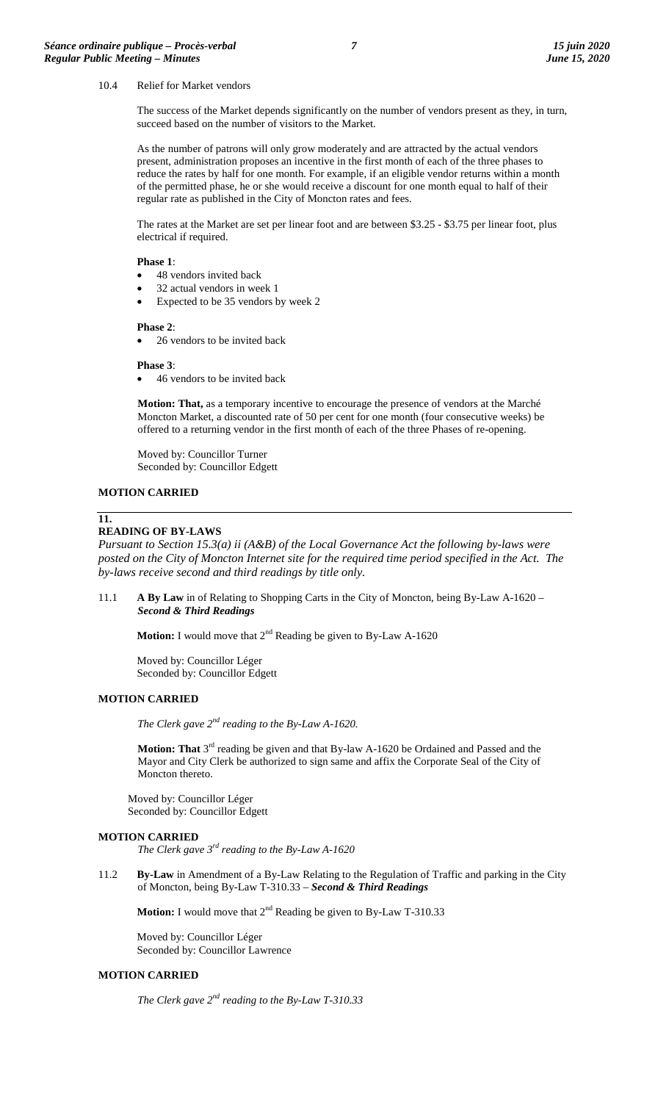### 10.4 Relief for Market vendors

The success of the Market depends significantly on the number of vendors present as they, in turn, succeed based on the number of visitors to the Market.

As the number of patrons will only grow moderately and are attracted by the actual vendors present, administration proposes an incentive in the first month of each of the three phases to reduce the rates by half for one month. For example, if an eligible vendor returns within a month of the permitted phase, he or she would receive a discount for one month equal to half of their regular rate as published in the City of Moncton rates and fees.

The rates at the Market are set per linear foot and are between \$3.25 - \$3.75 per linear foot, plus electrical if required.

## **Phase 1**:

- 48 vendors invited back
- 32 actual vendors in week 1
- Expected to be 35 vendors by week 2

### **Phase 2**:

• 26 vendors to be invited back

### **Phase 3**:

• 46 vendors to be invited back

**Motion: That,** as a temporary incentive to encourage the presence of vendors at the Marché Moncton Market, a discounted rate of 50 per cent for one month (four consecutive weeks) be offered to a returning vendor in the first month of each of the three Phases of re-opening.

Moved by: Councillor Turner Seconded by: Councillor Edgett

# **MOTION CARRIED**

## **11.**

## **READING OF BY-LAWS**

*Pursuant to Section 15.3(a) ii (A&B) of the Local Governance Act the following by-laws were posted on the City of Moncton Internet site for the required time period specified in the Act. The by-laws receive second and third readings by title only.*

11.1 **A By Law** in of Relating to Shopping Carts in the City of Moncton, being By-Law A-1620 – *Second & Third Readings*

**Motion:** I would move that  $2^{nd}$  Reading be given to By-Law A-1620

Moved by: Councillor Léger Seconded by: Councillor Edgett

# **MOTION CARRIED**

*The Clerk gave 2nd reading to the By-Law A-1620.*

**Motion: That** 3<sup>rd</sup> reading be given and that By-law A-1620 be Ordained and Passed and the Mayor and City Clerk be authorized to sign same and affix the Corporate Seal of the City of Moncton thereto.

Moved by: Councillor Léger Seconded by: Councillor Edgett

## **MOTION CARRIED**

*The Clerk gave 3rd reading to the By-Law A-1620*

11.2 **By-Law** in Amendment of a By-Law Relating to the Regulation of Traffic and parking in the City of Moncton, being By-Law T-310.33 – *Second & Third Readings*

**Motion:** I would move that 2<sup>nd</sup> Reading be given to By-Law T-310.33

Moved by: Councillor Léger Seconded by: Councillor Lawrence

# **MOTION CARRIED**

*The Clerk gave 2nd reading to the By-Law T-310.33*